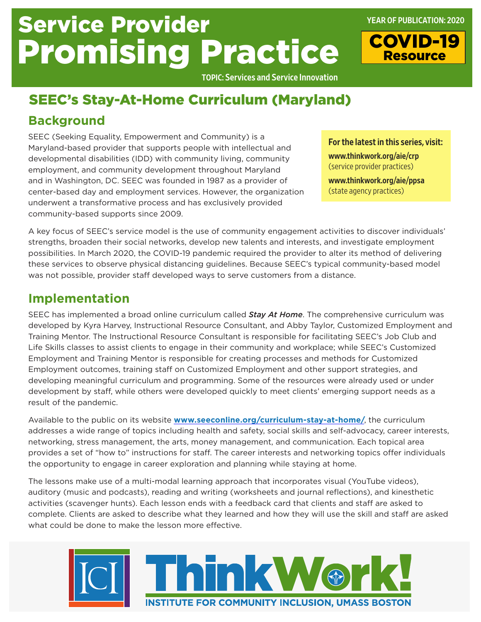# Service Provider Promising Practice

TOPIC: Services and Service Innovation

## SEEC's Stay-At-Home Curriculum (Maryland)

### **Background**

SEEC (Seeking Equality, Empowerment and Community) is a Maryland-based provider that supports people with intellectual and developmental disabilities (IDD) with community living, community employment, and community development throughout Maryland and in Washington, DC. SEEC was founded in 1987 as a provider of center-based day and employment services. However, the organization underwent a transformative process and has exclusively provided community-based supports since 2009.

For the latest in this series, visit: [www.thinkwork.org/aie/crp](http://www.thinkwork.org/aie/crp) (service provider practices)

YEAR OF PUBLICATION: 2020

COVID-19 **Resource** 

[www.thinkwork.org/aie/ppsa](http://www.thinkwork.org/aie/ppsa)  (state agency practices)

A key focus of SEEC's service model is the use of community engagement activities to discover individuals' strengths, broaden their social networks, develop new talents and interests, and investigate employment possibilities. In March 2020, the COVID-19 pandemic required the provider to alter its method of delivering these services to observe physical distancing guidelines. Because SEEC's typical community-based model was not possible, provider staff developed ways to serve customers from a distance.

#### **Implementation**

SEEC has implemented a broad online curriculum called *Stay At Home*. The comprehensive curriculum was developed by Kyra Harvey, Instructional Resource Consultant, and Abby Taylor, Customized Employment and Training Mentor. The Instructional Resource Consultant is responsible for facilitating SEEC's Job Club and Life Skills classes to assist clients to engage in their community and workplace; while SEEC's Customized Employment and Training Mentor is responsible for creating processes and methods for Customized Employment outcomes, training staff on Customized Employment and other support strategies, and developing meaningful curriculum and programming. Some of the resources were already used or under development by staff, while others were developed quickly to meet clients' emerging support needs as a result of the pandemic.

Available to the public on its website **[www.seeconline.org/curriculum-stay-at-home/](http://www.seeconline.org/curriculum-stay-at-home/)**, the curriculum addresses a wide range of topics including health and safety, social skills and self-advocacy, career interests, networking, stress management, the arts, money management, and communication. Each topical area provides a set of "how to" instructions for staff. The career interests and networking topics offer individuals the opportunity to engage in career exploration and planning while staying at home.

The lessons make use of a multi-modal learning approach that incorporates visual (YouTube videos), auditory (music and podcasts), reading and writing (worksheets and journal reflections), and kinesthetic activities (scavenger hunts). Each lesson ends with a feedback card that clients and staff are asked to complete. Clients are asked to describe what they learned and how they will use the skill and staff are asked what could be done to make the lesson more effective.